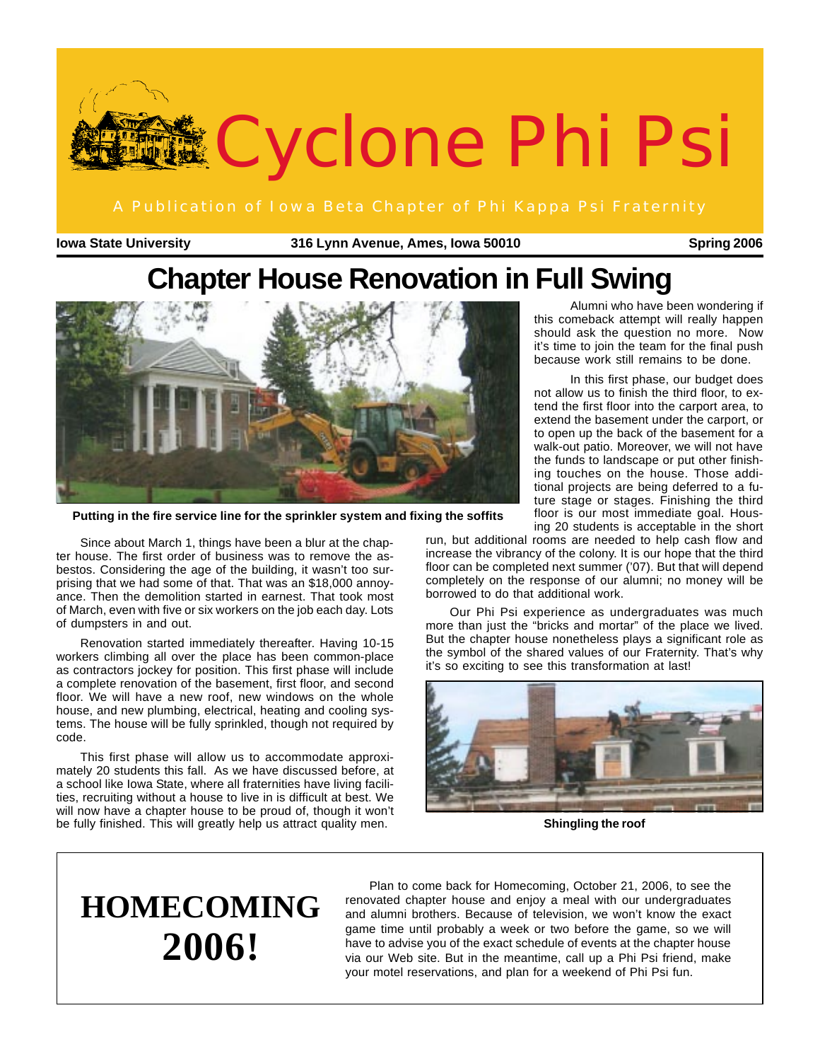

A Publication of Iowa Beta Chapter of Phi Kappa Psi Fraternity

**Iowa State University 316 Lynn Avenue, Ames, Iowa 50010 Spring 2006**

## **Chapter House Renovation in Full Swing**



**Putting in the fire service line for the sprinkler system and fixing the soffits**

Since about March 1, things have been a blur at the chapter house. The first order of business was to remove the asbestos. Considering the age of the building, it wasn't too surprising that we had some of that. That was an \$18,000 annoyance. Then the demolition started in earnest. That took most of March, even with five or six workers on the job each day. Lots of dumpsters in and out.

Renovation started immediately thereafter. Having 10-15 workers climbing all over the place has been common-place as contractors jockey for position. This first phase will include a complete renovation of the basement, first floor, and second floor. We will have a new roof, new windows on the whole house, and new plumbing, electrical, heating and cooling systems. The house will be fully sprinkled, though not required by code.

This first phase will allow us to accommodate approximately 20 students this fall. As we have discussed before, at a school like Iowa State, where all fraternities have living facilities, recruiting without a house to live in is difficult at best. We will now have a chapter house to be proud of, though it won't be fully finished. This will greatly help us attract quality men.

Alumni who have been wondering if this comeback attempt will really happen should ask the question no more. Now it's time to join the team for the final push because work still remains to be done.

In this first phase, our budget does not allow us to finish the third floor, to extend the first floor into the carport area, to extend the basement under the carport, or to open up the back of the basement for a walk-out patio. Moreover, we will not have the funds to landscape or put other finishing touches on the house. Those additional projects are being deferred to a future stage or stages. Finishing the third floor is our most immediate goal. Housing 20 students is acceptable in the short

run, but additional rooms are needed to help cash flow and increase the vibrancy of the colony. It is our hope that the third floor can be completed next summer ('07). But that will depend completely on the response of our alumni; no money will be borrowed to do that additional work.

Our Phi Psi experience as undergraduates was much more than just the "bricks and mortar" of the place we lived. But the chapter house nonetheless plays a significant role as the symbol of the shared values of our Fraternity. That's why it's so exciting to see this transformation at last!



**Shingling the roof**

# **HOMECOMING 2006!**

Plan to come back for Homecoming, October 21, 2006, to see the renovated chapter house and enjoy a meal with our undergraduates and alumni brothers. Because of television, we won't know the exact game time until probably a week or two before the game, so we will have to advise you of the exact schedule of events at the chapter house via our Web site. But in the meantime, call up a Phi Psi friend, make your motel reservations, and plan for a weekend of Phi Psi fun.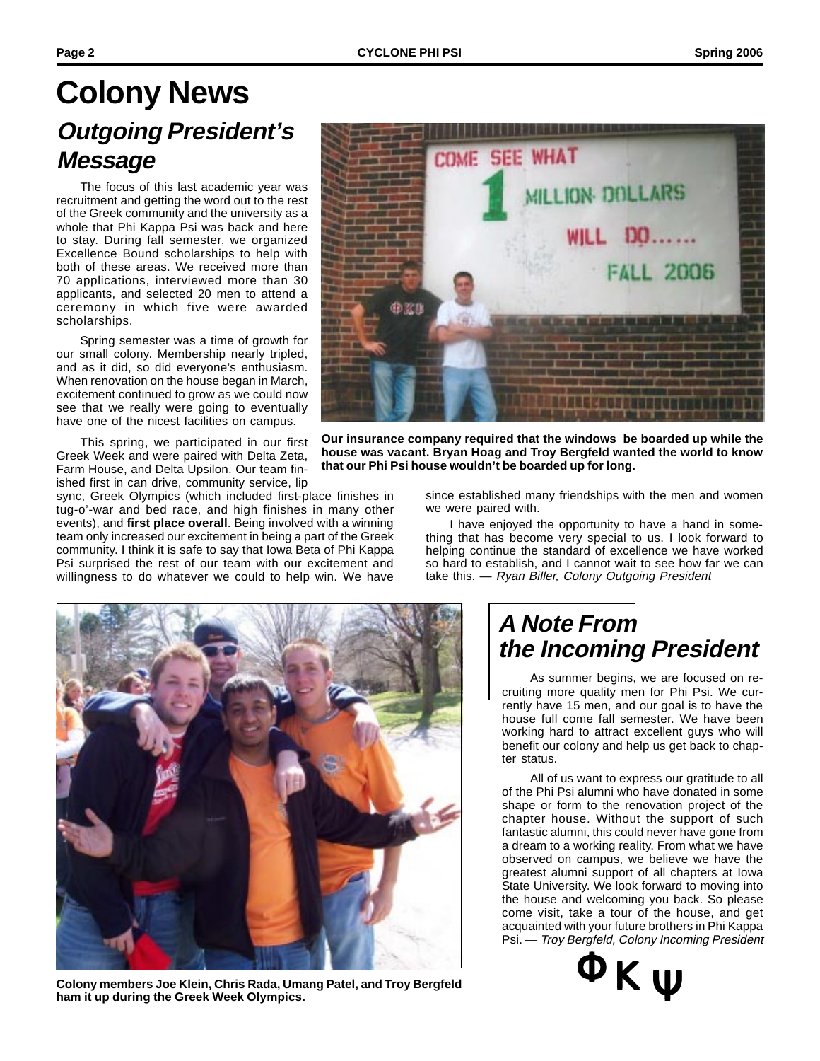中原县

## **Colony News Outgoing President's Message**

The focus of this last academic year was recruitment and getting the word out to the rest of the Greek community and the university as a whole that Phi Kappa Psi was back and here to stay. During fall semester, we organized Excellence Bound scholarships to help with both of these areas. We received more than 70 applications, interviewed more than 30 applicants, and selected 20 men to attend a ceremony in which five were awarded scholarships.

Spring semester was a time of growth for our small colony. Membership nearly tripled, and as it did, so did everyone's enthusiasm. When renovation on the house began in March, excitement continued to grow as we could now see that we really were going to eventually have one of the nicest facilities on campus.

This spring, we participated in our first Greek Week and were paired with Delta Zeta, Farm House, and Delta Upsilon. Our team finished first in can drive, community service, lip

sync, Greek Olympics (which included first-place finishes in tug-o'-war and bed race, and high finishes in many other events), and **first place overall**. Being involved with a winning team only increased our excitement in being a part of the Greek community. I think it is safe to say that Iowa Beta of Phi Kappa Psi surprised the rest of our team with our excitement and willingness to do whatever we could to help win. We have



COME SEE WI

I have enjoyed the opportunity to have a hand in something that has become very special to us. I look forward to helping continue the standard of excellence we have worked so hard to establish, and I cannot wait to see how far we can take this. — Ryan Biller, Colony Outgoing President

**AILLION DOLLARS** 



**Colony members Joe Klein, Chris Rada, Umang Patel, and Troy Bergfeld ham it up during the Greek Week Olympics.**

### **A Note From the Incoming President**

As summer begins, we are focused on recruiting more quality men for Phi Psi. We currently have 15 men, and our goal is to have the house full come fall semester. We have been working hard to attract excellent guys who will benefit our colony and help us get back to chapter status.

All of us want to express our gratitude to all of the Phi Psi alumni who have donated in some shape or form to the renovation project of the chapter house. Without the support of such fantastic alumni, this could never have gone from a dream to a working reality. From what we have observed on campus, we believe we have the greatest alumni support of all chapters at Iowa State University. We look forward to moving into the house and welcoming you back. So please come visit, take a tour of the house, and get acquainted with your future brothers in Phi Kappa Psi. — Troy Bergfeld, Colony Incoming President



2006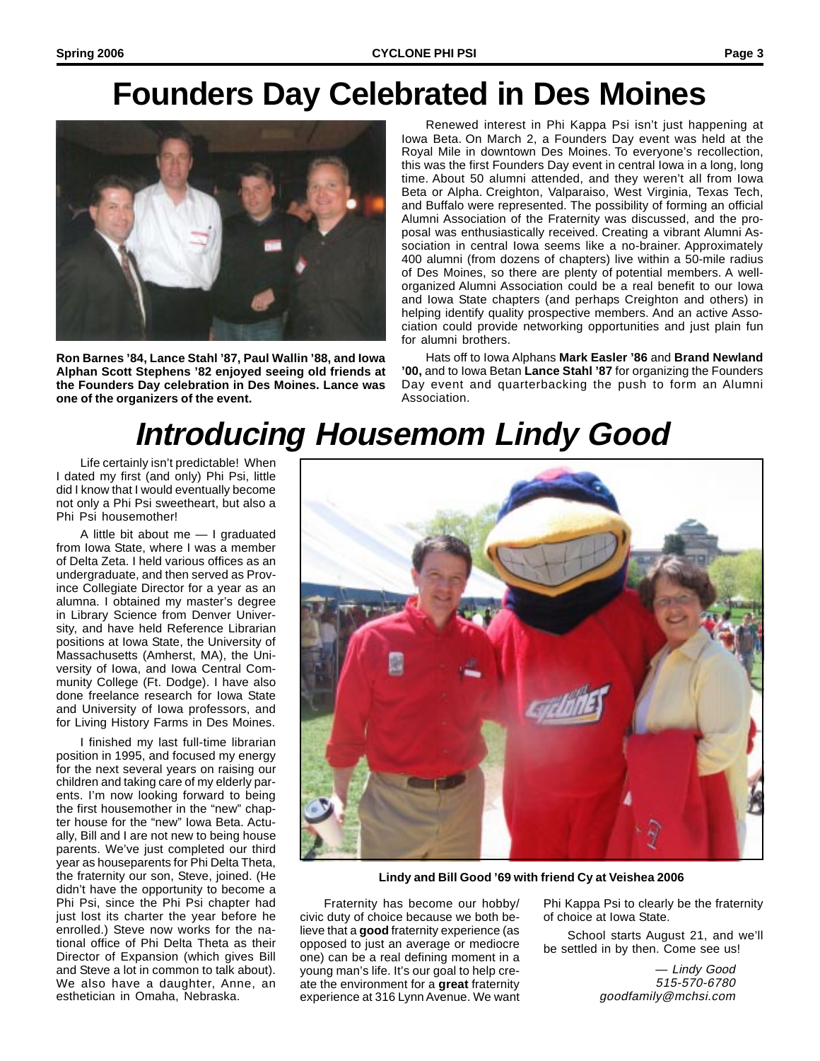## **Founders Day Celebrated in Des Moines**



**Ron Barnes '84, Lance Stahl '87, Paul Wallin '88, and Iowa Alphan Scott Stephens '82 enjoyed seeing old friends at the Founders Day celebration in Des Moines. Lance was one of the organizers of the event.**

Renewed interest in Phi Kappa Psi isn't just happening at Iowa Beta. On March 2, a Founders Day event was held at the Royal Mile in downtown Des Moines. To everyone's recollection, this was the first Founders Day event in central Iowa in a long, long time. About 50 alumni attended, and they weren't all from Iowa Beta or Alpha. Creighton, Valparaiso, West Virginia, Texas Tech, and Buffalo were represented. The possibility of forming an official Alumni Association of the Fraternity was discussed, and the proposal was enthusiastically received. Creating a vibrant Alumni Association in central Iowa seems like a no-brainer. Approximately 400 alumni (from dozens of chapters) live within a 50-mile radius of Des Moines, so there are plenty of potential members. A wellorganized Alumni Association could be a real benefit to our Iowa and Iowa State chapters (and perhaps Creighton and others) in helping identify quality prospective members. And an active Association could provide networking opportunities and just plain fun for alumni brothers.

Hats off to Iowa Alphans **Mark Easler '86** and **Brand Newland '00,** and to Iowa Betan **Lance Stahl '87** for organizing the Founders Day event and quarterbacking the push to form an Alumni Association.

## **Introducing Housemom Lindy Good**

Life certainly isn't predictable! When I dated my first (and only) Phi Psi, little did I know that I would eventually become not only a Phi Psi sweetheart, but also a Phi Psi housemother!

A little bit about me — I graduated from Iowa State, where I was a member of Delta Zeta. I held various offices as an undergraduate, and then served as Province Collegiate Director for a year as an alumna. I obtained my master's degree in Library Science from Denver University, and have held Reference Librarian positions at Iowa State, the University of Massachusetts (Amherst, MA), the University of Iowa, and Iowa Central Community College (Ft. Dodge). I have also done freelance research for Iowa State and University of Iowa professors, and for Living History Farms in Des Moines.

I finished my last full-time librarian position in 1995, and focused my energy for the next several years on raising our children and taking care of my elderly parents. I'm now looking forward to being the first housemother in the "new" chapter house for the "new" Iowa Beta. Actually, Bill and I are not new to being house parents. We've just completed our third year as houseparents for Phi Delta Theta, the fraternity our son, Steve, joined. (He didn't have the opportunity to become a Phi Psi, since the Phi Psi chapter had just lost its charter the year before he enrolled.) Steve now works for the national office of Phi Delta Theta as their Director of Expansion (which gives Bill and Steve a lot in common to talk about). We also have a daughter, Anne, an esthetician in Omaha, Nebraska.



#### **Lindy and Bill Good '69 with friend Cy at Veishea 2006**

Fraternity has become our hobby/ civic duty of choice because we both believe that a **good** fraternity experience (as opposed to just an average or mediocre one) can be a real defining moment in a young man's life. It's our goal to help create the environment for a **great** fraternity experience at 316 Lynn Avenue. We want Phi Kappa Psi to clearly be the fraternity of choice at Iowa State.

School starts August 21, and we'll be settled in by then. Come see us!

> — Lindy Good 515-570-6780 goodfamily@mchsi.com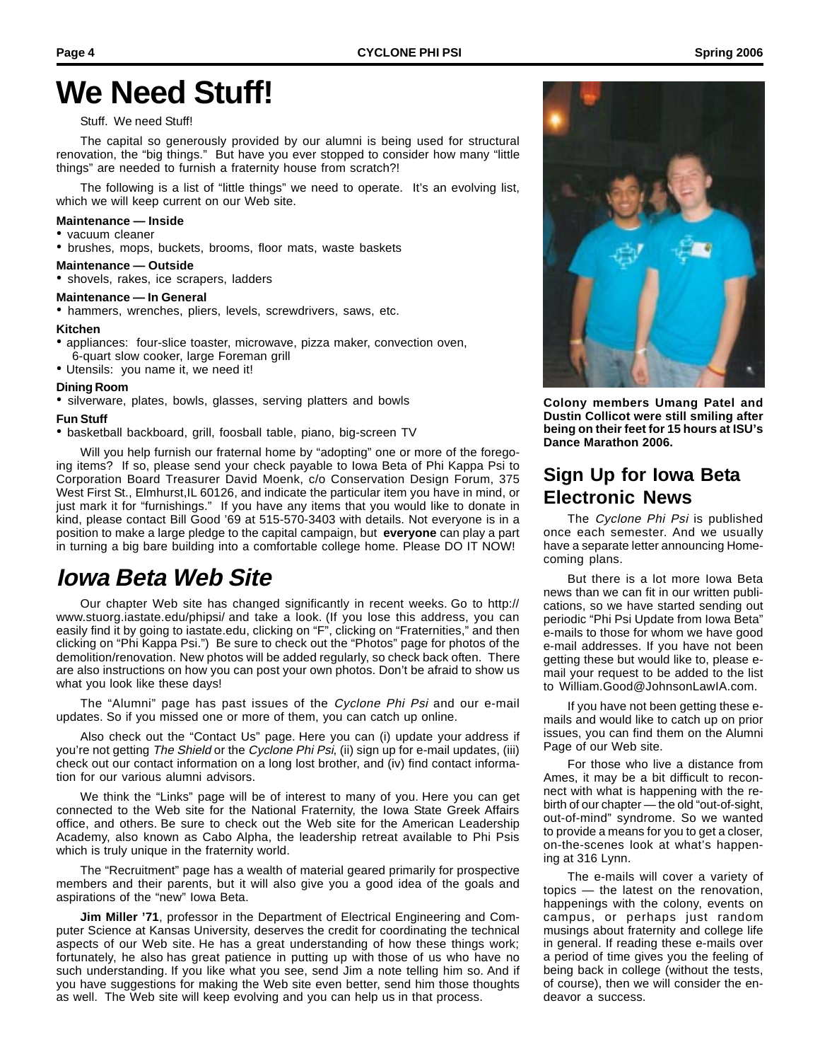## **We Need Stuff!**

#### Stuff. We need Stuff!

The capital so generously provided by our alumni is being used for structural renovation, the "big things." But have you ever stopped to consider how many "little things" are needed to furnish a fraternity house from scratch?!

The following is a list of "little things" we need to operate. It's an evolving list, which we will keep current on our Web site.

#### **Maintenance — Inside**

#### • vacuum cleaner

• brushes, mops, buckets, brooms, floor mats, waste baskets

#### **Maintenance — Outside**

• shovels, rakes, ice scrapers, ladders

#### **Maintenance — In General**

• hammers, wrenches, pliers, levels, screwdrivers, saws, etc.

#### **Kitchen**

- appliances: four-slice toaster, microwave, pizza maker, convection oven,
- 6-quart slow cooker, large Foreman grill
- Utensils: you name it, we need it!

#### **Dining Room**

• silverware, plates, bowls, glasses, serving platters and bowls

#### **Fun Stuff**

• basketball backboard, grill, foosball table, piano, big-screen TV

Will you help furnish our fraternal home by "adopting" one or more of the foregoing items? If so, please send your check payable to Iowa Beta of Phi Kappa Psi to Corporation Board Treasurer David Moenk, c/o Conservation Design Forum, 375 West First St., Elmhurst, IL 60126, and indicate the particular item you have in mind, or just mark it for "furnishings." If you have any items that you would like to donate in kind, please contact Bill Good '69 at 515-570-3403 with details. Not everyone is in a position to make a large pledge to the capital campaign, but **everyone** can play a part in turning a big bare building into a comfortable college home. Please DO IT NOW!

### **Iowa Beta Web Site**

Our chapter Web site has changed significantly in recent weeks. Go to http:// www.stuorg.iastate.edu/phipsi/ and take a look. (If you lose this address, you can easily find it by going to iastate.edu, clicking on "F", clicking on "Fraternities," and then clicking on "Phi Kappa Psi.") Be sure to check out the "Photos" page for photos of the demolition/renovation. New photos will be added regularly, so check back often. There are also instructions on how you can post your own photos. Don't be afraid to show us what you look like these days!

The "Alumni" page has past issues of the Cyclone Phi Psi and our e-mail updates. So if you missed one or more of them, you can catch up online.

 Also check out the "Contact Us" page. Here you can (i) update your address if you're not getting The Shield or the Cyclone Phi Psi, (ii) sign up for e-mail updates, (iii) check out our contact information on a long lost brother, and (iv) find contact information for our various alumni advisors.

We think the "Links" page will be of interest to many of you. Here you can get connected to the Web site for the National Fraternity, the Iowa State Greek Affairs office, and others. Be sure to check out the Web site for the American Leadership Academy, also known as Cabo Alpha, the leadership retreat available to Phi Psis which is truly unique in the fraternity world.

 The "Recruitment" page has a wealth of material geared primarily for prospective members and their parents, but it will also give you a good idea of the goals and aspirations of the "new" Iowa Beta.

**Jim Miller '71**, professor in the Department of Electrical Engineering and Computer Science at Kansas University, deserves the credit for coordinating the technical aspects of our Web site. He has a great understanding of how these things work; fortunately, he also has great patience in putting up with those of us who have no such understanding. If you like what you see, send Jim a note telling him so. And if you have suggestions for making the Web site even better, send him those thoughts as well. The Web site will keep evolving and you can help us in that process.



**Colony members Umang Patel and Dustin Collicot were still smiling after being on their feet for 15 hours at ISU's Dance Marathon 2006.**

### **Sign Up for Iowa Beta Electronic News**

The Cyclone Phi Psi is published once each semester. And we usually have a separate letter announcing Homecoming plans.

But there is a lot more Iowa Beta news than we can fit in our written publications, so we have started sending out periodic "Phi Psi Update from Iowa Beta" e-mails to those for whom we have good e-mail addresses. If you have not been getting these but would like to, please email your request to be added to the list to William.Good@JohnsonLawIA.com.

If you have not been getting these emails and would like to catch up on prior issues, you can find them on the Alumni Page of our Web site.

For those who live a distance from Ames, it may be a bit difficult to reconnect with what is happening with the rebirth of our chapter — the old "out-of-sight, out-of-mind" syndrome. So we wanted to provide a means for you to get a closer, on-the-scenes look at what's happening at 316 Lynn.

The e-mails will cover a variety of topics — the latest on the renovation, happenings with the colony, events on campus, or perhaps just random musings about fraternity and college life in general. If reading these e-mails over a period of time gives you the feeling of being back in college (without the tests, of course), then we will consider the endeavor a success.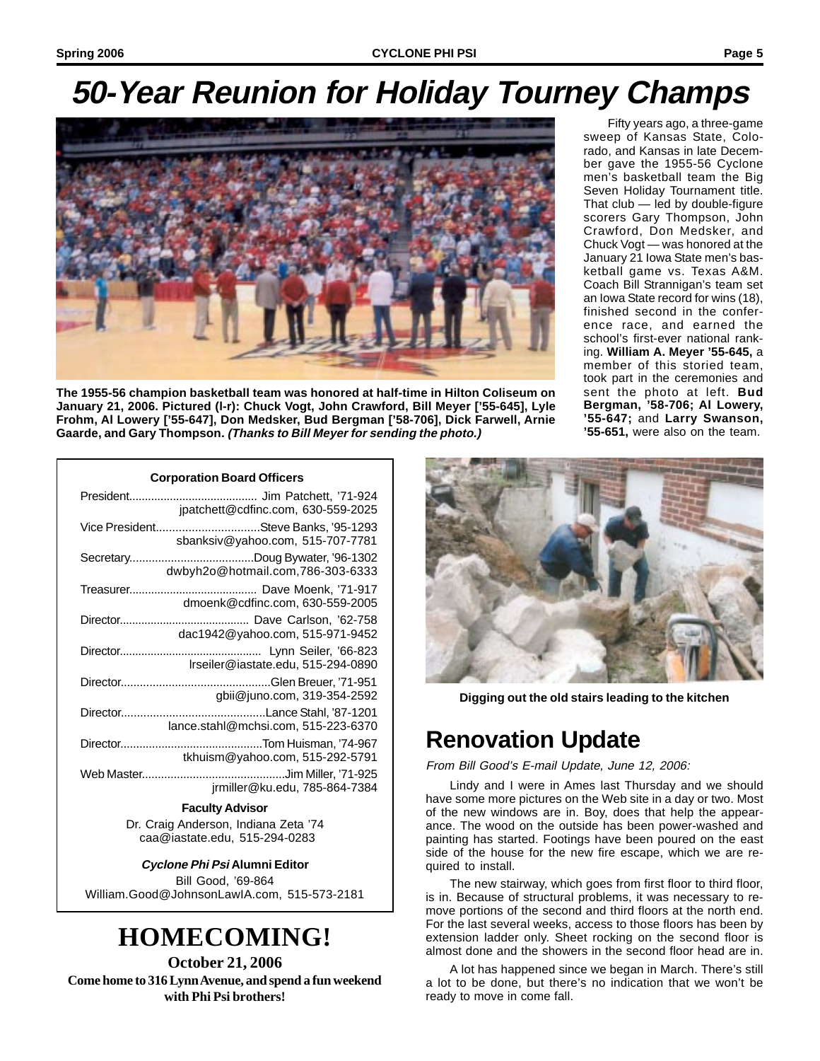## **50-Year Reunion for Holiday Tourney Champs**



**The 1955-56 champion basketball team was honored at half-time in Hilton Coliseum on January 21, 2006. Pictured (l-r): Chuck Vogt, John Crawford, Bill Meyer ['55-645], Lyle Frohm, Al Lowery ['55-647], Don Medsker, Bud Bergman ['58-706], Dick Farwell, Arnie Gaarde, and Gary Thompson. (Thanks to Bill Meyer for sending the photo.)**

Fifty years ago, a three-game sweep of Kansas State, Colorado, and Kansas in late December gave the 1955-56 Cyclone men's basketball team the Big Seven Holiday Tournament title. That club — led by double-figure scorers Gary Thompson, John Crawford, Don Medsker, and Chuck Vogt — was honored at the January 21 Iowa State men's basketball game vs. Texas A&M. Coach Bill Strannigan's team set an Iowa State record for wins (18), finished second in the conference race, and earned the school's first-ever national ranking. **William A. Meyer '55-645,** a member of this storied team, took part in the ceremonies and sent the photo at left. **Bud Bergman, '58-706; Al Lowery, '55-647;** and **Larry Swanson, '55-651,** were also on the team.



| ipatchett@cdfinc.com, 630-559-2025                                      |                                    |
|-------------------------------------------------------------------------|------------------------------------|
| Vice PresidentSteve Banks, '95-1293<br>sbanksiv@yahoo.com, 515-707-7781 |                                    |
| dwbyh2o@hotmail.com,786-303-6333                                        |                                    |
| dmoenk@cdfinc.com, 630-559-2005                                         |                                    |
| dac1942@yahoo.com, 515-971-9452                                         |                                    |
|                                                                         | Irseiler@iastate.edu, 515-294-0890 |
|                                                                         | gbii@juno.com, 319-354-2592        |
| lance.stahl@mchsi.com, 515-223-6370                                     |                                    |
| tkhuism@yahoo.com, 515-292-5791                                         |                                    |
|                                                                         | jrmiller@ku.edu, 785-864-7384      |

#### **Faculty Advisor**

Dr. Craig Anderson, Indiana Zeta '74 caa@iastate.edu, 515-294-0283

#### **Cyclone Phi Psi Alumni Editor**

Bill Good, '69-864 William.Good@JohnsonLawIA.com, 515-573-2181

## **HOMECOMING!**

**October 21, 2006 Come home to 316 Lynn Avenue, and spend a fun weekend with Phi Psi brothers!**



**Digging out the old stairs leading to the kitchen**

### **Renovation Update**

From Bill Good's E-mail Update, June 12, 2006:

Lindy and I were in Ames last Thursday and we should have some more pictures on the Web site in a day or two. Most of the new windows are in. Boy, does that help the appearance. The wood on the outside has been power-washed and painting has started. Footings have been poured on the east side of the house for the new fire escape, which we are required to install.

The new stairway, which goes from first floor to third floor, is in. Because of structural problems, it was necessary to remove portions of the second and third floors at the north end. For the last several weeks, access to those floors has been by extension ladder only. Sheet rocking on the second floor is almost done and the showers in the second floor head are in.

A lot has happened since we began in March. There's still a lot to be done, but there's no indication that we won't be ready to move in come fall.